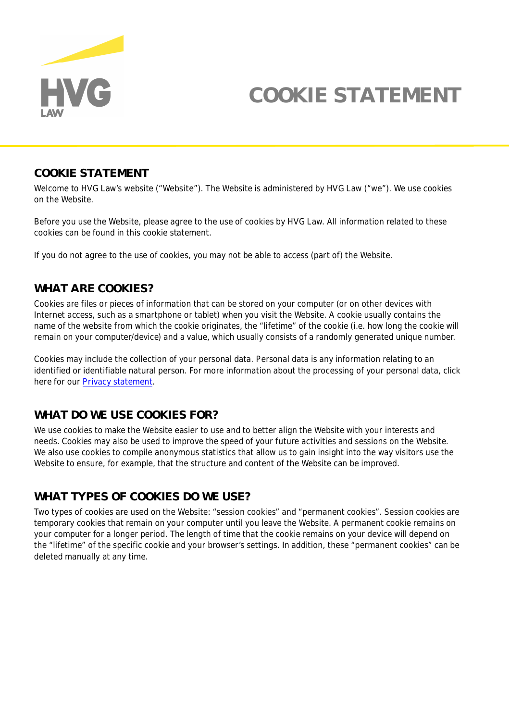

# **COOKIE STATEMENT**

#### **COOKIE STATEMENT**

Welcome to HVG Law's website ("**Website**"). The Website is administered by HVG Law ("**we**"). We use cookies on the Website.

Before you use the Website, please agree to the use of cookies by HVG Law. All information related to these cookies can be found in this cookie statement.

If you do not agree to the use of cookies, you may not be able to access (part of) the Website.

### **WHAT ARE COOKIES?**

Cookies are files or pieces of information that can be stored on your computer (or on other devices with Internet access, such as a smartphone or tablet) when you visit the Website. A cookie usually contains the name of the website from which the cookie originates, the "lifetime" of the cookie (i.e. how long the cookie will remain on your computer/device) and a value, which usually consists of a randomly generated unique number.

Cookies may include the collection of your personal data. Personal data is any information relating to an identified or identifiable natural person. For more information about the processing of your personal data, click here for our [Privacy statement](https://www.hvglaw.nl/en/privacy-statement/).

### **WHAT DO WE USE COOKIES FOR?**

We use cookies to make the Website easier to use and to better align the Website with your interests and needs. Cookies may also be used to improve the speed of your future activities and sessions on the Website. We also use cookies to compile anonymous statistics that allow us to gain insight into the way visitors use the Website to ensure, for example, that the structure and content of the Website can be improved.

### **WHAT TYPES OF COOKIES DO WE USE?**

Two types of cookies are used on the Website: "session cookies" and "permanent cookies". Session cookies are temporary cookies that remain on your computer until you leave the Website. A permanent cookie remains on your computer for a longer period. The length of time that the cookie remains on your device will depend on the "lifetime" of the specific cookie and your browser's settings. In addition, these "permanent cookies" can be deleted manually at any time.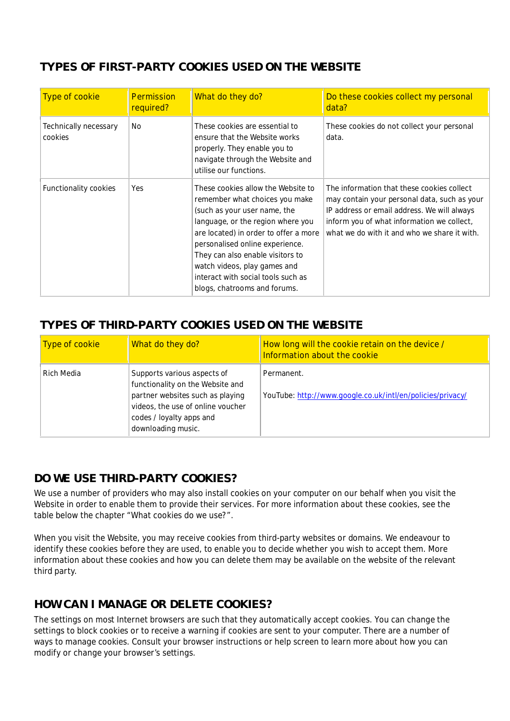## **TYPES OF FIRST-PARTY COOKIES USED ON THE WEBSITE**

| Type of cookie                   | Permission<br>required? | What do they do?                                                                                                                                                                                                                                                                                                                                                | Do these cookies collect my personal<br>data?                                                                                                                                                                                           |
|----------------------------------|-------------------------|-----------------------------------------------------------------------------------------------------------------------------------------------------------------------------------------------------------------------------------------------------------------------------------------------------------------------------------------------------------------|-----------------------------------------------------------------------------------------------------------------------------------------------------------------------------------------------------------------------------------------|
| Technically necessary<br>cookies | No.                     | These cookies are essential to<br>ensure that the Website works<br>properly. They enable you to<br>navigate through the Website and<br>utilise our functions.                                                                                                                                                                                                   | These cookies do not collect your personal<br>data.                                                                                                                                                                                     |
| Functionality cookies            | Yes                     | These cookies allow the Website to<br>remember what choices you make<br>(such as your user name, the<br>language, or the region where you<br>are located) in order to offer a more<br>personalised online experience.<br>They can also enable visitors to<br>watch videos, play games and<br>interact with social tools such as<br>blogs, chatrooms and forums. | The information that these cookies collect<br>may contain your personal data, such as your<br>IP address or email address. We will always<br>inform you of what information we collect,<br>what we do with it and who we share it with. |

## **TYPES OF THIRD-PARTY COOKIES USED ON THE WEBSITE**

| Type of cookie | What do they do?                                                                                                                                                                           | How long will the cookie retain on the device /<br>Information about the cookie |
|----------------|--------------------------------------------------------------------------------------------------------------------------------------------------------------------------------------------|---------------------------------------------------------------------------------|
| Rich Media     | Supports various aspects of<br>functionality on the Website and<br>partner websites such as playing<br>videos, the use of online voucher<br>codes / loyalty apps and<br>downloading music. | Permanent.<br>YouTube: http://www.google.co.uk/intl/en/policies/privacy/        |

## **DO WE USE THIRD-PARTY COOKIES?**

We use a number of providers who may also install cookies on your computer on our behalf when you visit the Website in order to enable them to provide their services. For more information about these cookies, see the table below the chapter "What cookies do we use?".

When you visit the Website, you may receive cookies from third-party websites or domains. We endeavour to identify these cookies before they are used, to enable you to decide whether you wish to accept them. More information about these cookies and how you can delete them may be available on the website of the relevant third party.

## **HOW CAN I MANAGE OR DELETE COOKIES?**

The settings on most Internet browsers are such that they automatically accept cookies. You can change the settings to block cookies or to receive a warning if cookies are sent to your computer. There are a number of ways to manage cookies. Consult your browser instructions or help screen to learn more about how you can modify or change your browser's settings.